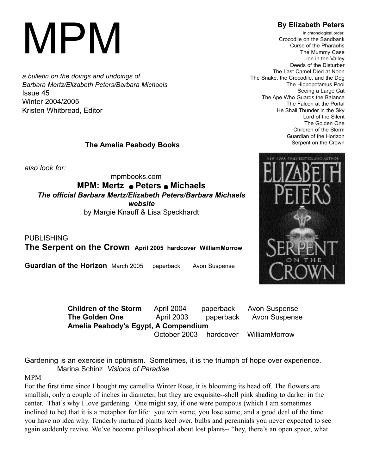# MPM

*a bulletin on the doings and undoings of Barbara Mertz/Elizabeth Peters/Barbara Michaels* Issue 45 Winter 2004/2005 Kristen Whitbread, Editor

### **The Amelia Peabody Books**

*also look for:*

mpmbooks.com **MPM: Mertz** <sup>Q</sup>**Peters** <sup>Q</sup>**Michaels** *The official Barbara Mertz/Elizabeth Peters/Barbara Michaels website* by Margie Knauff & Lisa Speckhardt

PUBLISHING **The Serpent on the Crown April 2005 hardcover WilliamMorrow**

**Guardian of the Horizon** March 2005 paperback Avon Suspense



Gardening is an exercise in optimism. Sometimes, it is the triumph of hope over experience. Marina Schinz *Visions of Paradise*

#### MPM

For the first time since I bought my camellia Winter Rose, it is blooming its head off. The flowers are smallish, only a couple of inches in diameter, but they are exquisite--shell pink shading to darker in the center. That's why I love gardening. One might say, if one were pompous (which I am sometimes inclined to be) that it is a metaphor for life: you win some, you lose some, and a good deal of the time you have no idea why. Tenderly nurtured plants keel over, bulbs and perennials you never expected to see again suddenly revive. We've become philosophical about lost plants-- "hey, there's an open space, what

## **By Elizabeth Peters**

In chronological order: Crocodile on the Sandbank Curse of the Pharaohs The Mummy Case Lion in the Valley Deeds of the Disturber The Last Camel Died at Noon The Snake, the Crocodile, and the Dog The Hippopotamus Pool Seeing a Large Cat The Ape Who Guards the Balance The Falcon at the Portal He Shall Thunder in the Sky Lord of the Silent The Golden One Children of the Storm Guardian of the Horizon Serpent on the Crown

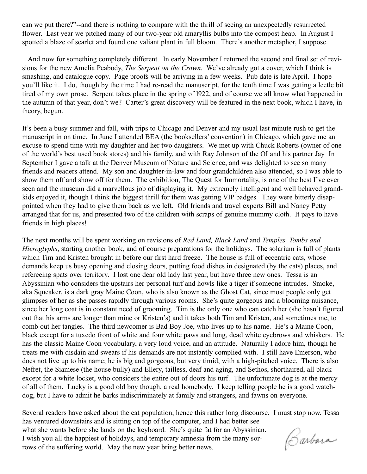can we put there?"--and there is nothing to compare with the thrill of seeing an unexpectedly resurrected flower. Last year we pitched many of our two-year old amaryllis bulbs into the compost heap. In August I spotted a blaze of scarlet and found one valiant plant in full bloom. There's another metaphor, I suppose.

And now for something completely different. In early November I returned the second and final set of revisions for the new Amelia Peabody, *The Serpent on the Crown*. We've already got a cover, which I think is smashing, and catalogue copy. Page proofs will be arriving in a few weeks. Pub date is late April. I hope you'll like it. I do, though by the time I had re-read the manuscript. for the tenth time I was getting a leetle bit tired of my own prose. Serpent takes place in the spring of l922, and of course we all know what happened in the autumn of that year, don't we? Carter's great discovery will be featured in the next book, which I have, in theory, begun.

It's been a busy summer and fall, with trips to Chicago and Denver and my usual last minute rush to get the manuscript in on time. In June I attended BEA (the booksellers' convention) in Chicago, which gave me an excuse to spend time with my daughter and her two daughters. We met up with Chuck Roberts (owner of one of the world's best used book stores) and his family, and with Ray Johnson of the OI and his partner Jay In September I gave a talk at the Denver Museum of Nature and Science, and was delighted to see so many friends and readers attend. My son and daughter-in-law and four grandchildren also attended, so I was able to show them off and show off for them. The exhibition, The Quest for Immortality, is one of the best I've ever seen and the museum did a marvellous job of displaying it. My extremely intelligent and well behaved grandkids enjoyed it, though I think the biggest thrill for them was getting VIP badges. They were bitterly disappointed when they had to give them back as we left. Old friends and travel experts Bill and Nancy Petty arranged that for us, and presented two of the children with scraps of genuine mummy cloth. It pays to have friends in high places!

The next months will be spent working on revisions of *Red Land, Black Land* and *Temples, Tombs and Hieroglyphs*, starting another book, and of course preparations for the holidays. The solarium is full of plants which Tim and Kristen brought in before our first hard freeze. The house is full of eccentric cats, whose demands keep us busy opening and closing doors, putting food dishes in designated (by the cats) places, and refereeing spats over territory. I lost one dear old lady last year, but have three new ones. Tessa is an Abyssinian who considers the upstairs her personal turf and howls like a tiger if someone intrudes. Smoke, aka Squeaker, is a dark gray Maine Coon, who is also known as the Ghost Cat, since most people only get glimpses of her as she passes rapidly through various rooms. She's quite gorgeous and a blooming nuisance, since her long coat is in constant need of grooming. Tim is the only one who can catch her (she hasn't figured out that his arms are longer than mine or Kristen's) and it takes both Tim and Kristen, and sometimes me, to comb out her tangles. The third newcomer is Bad Boy Joe, who lives up to his name. He's a Maine Coon, black except for a tuxedo front of white and four white paws and long, dead white eyebrows and whiskers. He has the classic Maine Coon vocabulary, a very loud voice, and an attitude. Naturally I adore him, though he treats me with disdain and swears if his demands are not instantly complied with. I still have Emerson, who does not live up to his name; he is big and gorgeous, but very timid, with a high-pitched voice. There is also Nefret, the Siamese (the house bully) and Ellery, tailless, deaf and aging, and Sethos, shorthaired, all black except for a white locket, who considers the entire out of doors his turf. The unfortunate dog is at the mercy of all of them. Lucky is a good old boy though, a real homebody. I keep telling people he is a good watchdog, but I have to admit he barks indiscriminately at family and strangers, and fawns on everyone.

Several readers have asked about the cat population, hence this rather long discourse. I must stop now. Tessa has ventured downstairs and is sitting on top of the computer, and I had better see what she wants before she lands on the keyboard. She's quite fat for an Abyssinian. Carbora I wish you all the happiest of holidays, and temporary amnesia from the many sorrows of the suffering world. May the new year bring better news.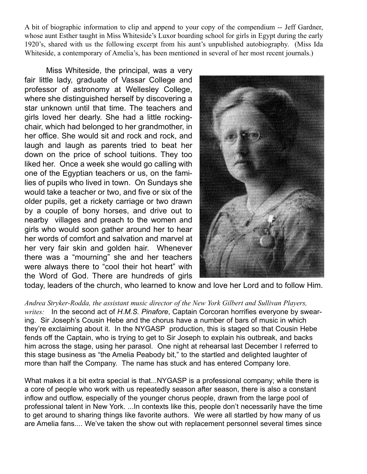A bit of biographic information to clip and append to your copy of the compendium -- Jeff Gardner, whose aunt Esther taught in Miss Whiteside's Luxor boarding school for girls in Egypt during the early 1920's, shared with us the following excerpt from his aunt's unpublished autobiography. (Miss Ida Whiteside, a contemporary of Amelia's, has been mentioned in several of her most recent journals.)

Miss Whiteside, the principal, was a very fair little lady, graduate of Vassar College and professor of astronomy at Wellesley College, where she distinguished herself by discovering a star unknown until that time. The teachers and girls loved her dearly. She had a little rockingchair, which had belonged to her grandmother, in her office. She would sit and rock and rock, and laugh and laugh as parents tried to beat her down on the price of school tuitions. They too liked her. Once a week she would go calling with one of the Egyptian teachers or us, on the families of pupils who lived in town. On Sundays she would take a teacher or two, and five or six of the older pupils, get a rickety carriage or two drawn by a couple of bony horses, and drive out to nearby villages and preach to the women and girls who would soon gather around her to hear her words of comfort and salvation and marvel at her very fair skin and golden hair. Whenever there was a "mourning" she and her teachers were always there to "cool their hot heart" with the Word of God. There are hundreds of girls



today, leaders of the church, who learned to know and love her Lord and to follow Him.

*Andrea Stryker-Rodda, the assistant music director of the New York Gilbert and Sullivan Players, writes:* In the second act of *H.M.S. Pinafore*, Captain Corcoran horrifies everyone by swearing. Sir Joseph's Cousin Hebe and the chorus have a number of bars of music in which they're exclaiming about it. In the NYGASP production, this is staged so that Cousin Hebe fends off the Captain, who is trying to get to Sir Joseph to explain his outbreak, and backs him across the stage, using her parasol. One night at rehearsal last December I referred to this stage business as "the Amelia Peabody bit," to the startled and delighted laughter of more than half the Company. The name has stuck and has entered Company lore.

What makes it a bit extra special is that...NYGASP is a professional company; while there is a core of people who work with us repeatedly season after season, there is also a constant inflow and outflow, especially of the younger chorus people, drawn from the large pool of professional talent in New York. ...In contexts like this, people don't necessarily have the time to get around to sharing things like favorite authors. We were all startled by how many of us are Amelia fans.... We've taken the show out with replacement personnel several times since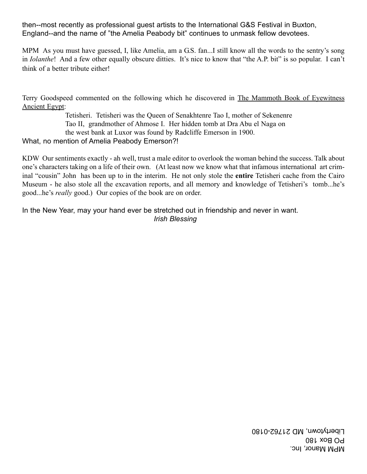then--most recently as professional guest artists to the International G&S Festival in Buxton, England--and the name of "the Amelia Peabody bit" continues to unmask fellow devotees.

MPM As you must have guessed, I, like Amelia, am a G.S. fan...I still know all the words to the sentry's song in *Iolanthe*! And a few other equally obscure ditties. It's nice to know that "the A.P. bit" is so popular. I can't think of a better tribute either!

Terry Goodspeed commented on the following which he discovered in The Mammoth Book of Eyewitness Ancient Egypt:

> Tetisheri. Tetisheri was the Queen of Senakhtenre Tao I, mother of Sekenenre Tao II, grandmother of Ahmose I. Her hidden tomb at Dra Abu el Naga on the west bank at Luxor was found by Radcliffe Emerson in 1900.

What, no mention of Amelia Peabody Emerson?!

KDW Our sentiments exactly - ah well, trust a male editor to overlook the woman behind the success. Talk about one's characters taking on a life of their own. (At least now we know what that infamous international art criminal "cousin" John has been up to in the interim. He not only stole the **entire** Tetisheri cache from the Cairo Museum - he also stole all the excavation reports, and all memory and knowledge of Tetisheri's tomb...he's good...he's *really* good.) Our copies of the book are on order.

In the New Year, may your hand ever be stretched out in friendship and never in want. *Irish Blessing*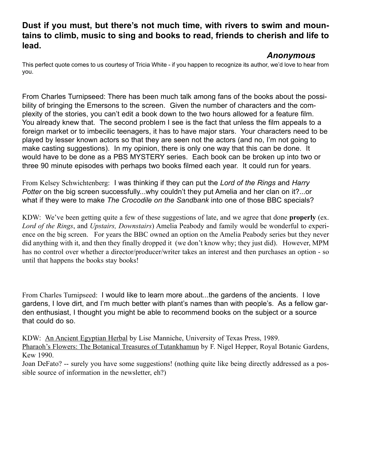## **Dust if you must, but there's not much time, with rivers to swim and mountains to climb, music to sing and books to read, friends to cherish and life to lead.**

# *Anonymous*

This perfect quote comes to us courtesy of Tricia White - if you happen to recognize its author, we'd love to hear from you.

From Charles Turnipseed: There has been much talk among fans of the books about the possibility of bringing the Emersons to the screen. Given the number of characters and the complexity of the stories, you can't edit a book down to the two hours allowed for a feature film. You already knew that. The second problem I see is the fact that unless the film appeals to a foreign market or to imbecilic teenagers, it has to have major stars. Your characters need to be played by lesser known actors so that they are seen not the actors (and no, I'm not going to make casting suggestions). In my opinion, there is only one way that this can be done. It would have to be done as a PBS MYSTERY series. Each book can be broken up into two or three 90 minute episodes with perhaps two books filmed each year. It could run for years.

From Kelsey Schwichtenberg: I was thinking if they can put the *Lord of the Rings* and *Harry Potter* on the big screen successfully...why couldn't they put Amelia and her clan on it?...or what if they were to make *The Crocodile on the Sandbank* into one of those BBC specials?

KDW: We've been getting quite a few of these suggestions of late, and we agree that done **properly** (ex. *Lord of the Rings*, and *Upstairs, Downstairs*) Amelia Peabody and family would be wonderful to experience on the big screen. For years the BBC owned an option on the Amelia Peabody series but they never did anything with it, and then they finally dropped it (we don't know why; they just did). However, MPM has no control over whether a director/producer/writer takes an interest and then purchases an option - so until that happens the books stay books!

From Charles Turnipseed: I would like to learn more about...the gardens of the ancients. I love gardens, I love dirt, and I'm much better with plant's names than with people's. As a fellow garden enthusiast, I thought you might be able to recommend books on the subject or a source that could do so.

KDW: An Ancient Egyptian Herbal by Lise Manniche, University of Texas Press, 1989. Pharaoh's Flowers: The Botanical Treasures of Tutankhamun by F. Nigel Hepper, Royal Botanic Gardens, Kew 1990.

Joan DeFato? -- surely you have some suggestions! (nothing quite like being directly addressed as a possible source of information in the newsletter, eh?)